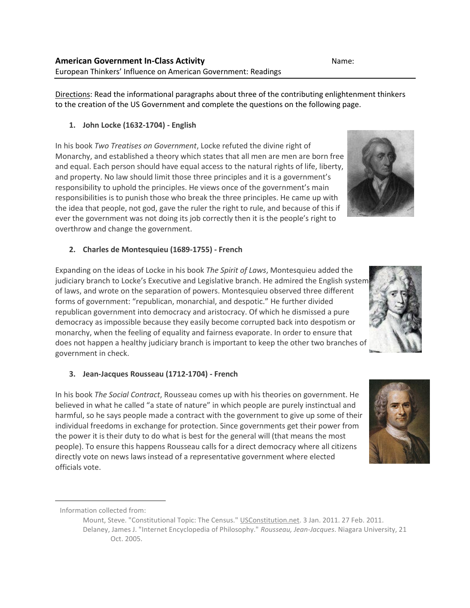Directions: Read the informational paragraphs about three of the contributing enlightenment thinkers to the creation of the US Government and complete the questions on the following page.

**1. John Locke (1632-1704) - English**

In his book *Two Treatises on Government*, Locke refuted the divine right of Monarchy, and established a theory which states that all men are men are born free and equal. Each person should have equal access to the natural rights of life, liberty, and property. No law should limit those three principles and it is a government's responsibility to uphold the principles. He views once of the government's main responsibilities is to punish those who break the three principles. He came up with the idea that people, not god, gave the ruler the right to rule, and because of this if ever the government was not doing its job correctly then it is the people's right to overthrow and change the government.

## **2. Charles de Montesquieu (1689-1755) - French**

Expanding on the ideas of Locke in his book *The Spirit of Laws*, Montesquieu added the judiciary branch to Locke's Executive and Legislative branch. He admired the English system of laws, and wrote on the separation of powers. Montesquieu observed three different forms of government: "republican, monarchial, and despotic." He further divided republican government into democracy and aristocracy. Of which he dismissed a pure democracy as impossible because they easily become corrupted back into despotism or monarchy, when the feeling of equality and fairness evaporate. In order to ensure that does not happen a healthy judiciary branch is important to keep the other two branches of government in check.

## **3. Jean-Jacques Rousseau (1712-1704) - French**

In his book *The Social Contract*, Rousseau comes up with his theories on government. He believed in what he called "a state of nature" in which people are purely instinctual and harmful, so he says people made a contract with the government to give up some of their individual freedoms in exchange for protection. Since governments get their power from the power it is their duty to do what is best for the general will (that means the most people). To ensure this happens Rousseau calls for a direct democracy where all citizens directly vote on news laws instead of a representative government where elected officials vote.

 $\overline{a}$ 

Mount, Steve. "Constitutional Topic: The Census." USConstitution.net. 3 Jan. 2011. 27 Feb. 2011. Delaney, James J. "Internet Encyclopedia of Philosophy." *Rousseau, Jean-Jacques*. Niagara University, 21 Oct. 2005.







Information collected from: